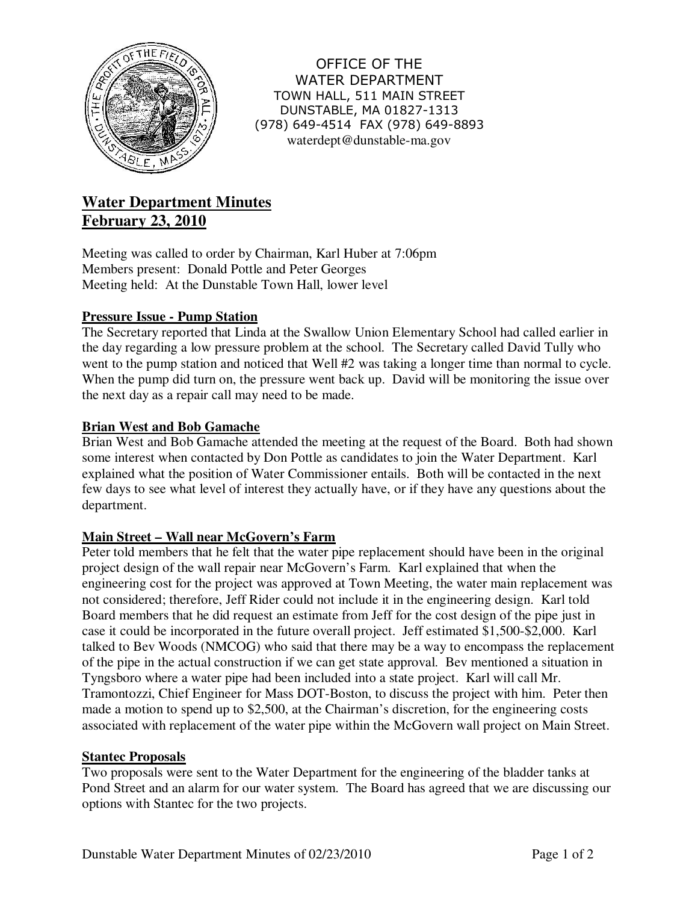

OFFICE OF THE WATER DEPARTMENT TOWN HALL, 511 MAIN STREET DUNSTABLE, MA 01827-1313 (978) 649-4514 FAX (978) 649-8893 waterdept@dunstable-ma.gov

# **Water Department Minutes February 23, 2010**

Meeting was called to order by Chairman, Karl Huber at 7:06pm Members present: Donald Pottle and Peter Georges Meeting held: At the Dunstable Town Hall, lower level

# **Pressure Issue - Pump Station**

The Secretary reported that Linda at the Swallow Union Elementary School had called earlier in the day regarding a low pressure problem at the school. The Secretary called David Tully who went to the pump station and noticed that Well #2 was taking a longer time than normal to cycle. When the pump did turn on, the pressure went back up. David will be monitoring the issue over the next day as a repair call may need to be made.

## **Brian West and Bob Gamache**

Brian West and Bob Gamache attended the meeting at the request of the Board. Both had shown some interest when contacted by Don Pottle as candidates to join the Water Department. Karl explained what the position of Water Commissioner entails. Both will be contacted in the next few days to see what level of interest they actually have, or if they have any questions about the department.

## **Main Street – Wall near McGovern's Farm**

Peter told members that he felt that the water pipe replacement should have been in the original project design of the wall repair near McGovern's Farm. Karl explained that when the engineering cost for the project was approved at Town Meeting, the water main replacement was not considered; therefore, Jeff Rider could not include it in the engineering design. Karl told Board members that he did request an estimate from Jeff for the cost design of the pipe just in case it could be incorporated in the future overall project. Jeff estimated \$1,500-\$2,000. Karl talked to Bev Woods (NMCOG) who said that there may be a way to encompass the replacement of the pipe in the actual construction if we can get state approval. Bev mentioned a situation in Tyngsboro where a water pipe had been included into a state project. Karl will call Mr. Tramontozzi, Chief Engineer for Mass DOT-Boston, to discuss the project with him. Peter then made a motion to spend up to \$2,500, at the Chairman's discretion, for the engineering costs associated with replacement of the water pipe within the McGovern wall project on Main Street.

## **Stantec Proposals**

Two proposals were sent to the Water Department for the engineering of the bladder tanks at Pond Street and an alarm for our water system. The Board has agreed that we are discussing our options with Stantec for the two projects.